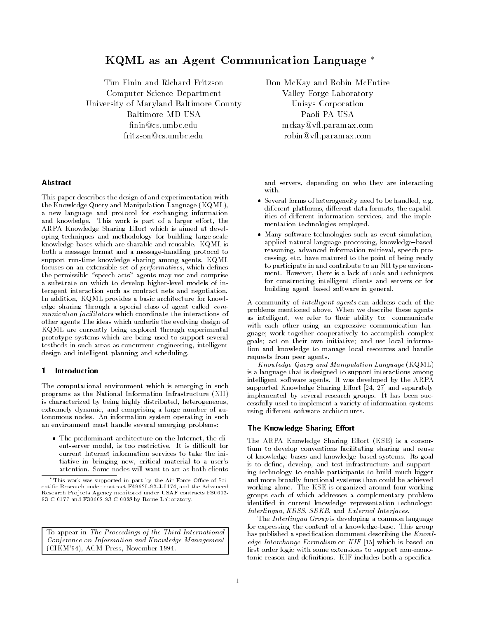# KQML as an Agent Communication Language

Tim Finin and Richard Fritzson Computer Science Department University of Maryland Baltimore County Baltimore MD USA nin@cs.umbc.edu fritzson@cs.umbc.edu

Abstract

This paper describes the design of and experimentation with the Knowledge Query and Manipulation Language (KQML), a new language and protocol for exchanging information and knowledge. This work is part of a larger effort, the ARPA Knowledge Sharing Effort which is aimed at developing techniques and methodology for building large-scale knowledge bases which are sharable and reusable. KQML is both a message format and a message-handling protocol to support run-time knowledge sharing among agents. KQML focuses on an extensible set of *performatives*, which defines the permissible "speech  $acts"$  agents may use and comprise a substrate on which to develop higher-level models of interagent interaction such as contract nets and negotiation. In addition, KQML provides a basic architecture for knowledge sharing through a special class of agent called com munication facilitators which coordinate the interactions of other agents The ideas which underlie the evolving design of KQML are currently being explored through experimental prototype systems which are being used to support several testbeds in such areas as concurrent engineering, intelligent design and intelligent planning and scheduling.

### 1 Introduction

The computational environment which is emerging in such programs as the National Information Infrastructure (NII) is characterized by being highly distributed, heterogeneous, extremely dynamic, and comprising a large number of autonomous nodes. An information system operating in such an environment must handle several emerging problems:

 The predominant architecture on the Internet, the client-server model, is too restrictive. It is difficult for current Internet information services to take the initiative in bringing new, critical material to a user's attention. Some nodes will want to act as both clients

To appear in The Proceedings of the Third International Conference on Information and Knowledge Management (CIKM'94), ACM Press, November 1994.

Don McKay and Robin McEntire Valley Forge Laboratory Unisys Corporation Paoli PA USA mckay@v
.paramax.com robin@v
.paramax.com

and servers, depending on who they are interacting with.

- Several forms of heterogeneity need to be handled, e.g. different platforms, different data formats, the capabilities of different information services, and the implementation technologies employed.
- Many software technologies such as event simulation, applied natural language processing, knowledge-based reasoning, advanced information retrieval, speech processing, etc. have matured to the point of being ready to participate in and contribute to an NII type environ ment. However, there is a lack of tools and techniques for constructing intelligent clients and servers or for building agent-based software in general.

A community of *intelligent agents* can address each of the problems mentioned above. When we describe these agents as intelligent, we refer to their ability to: communicate with each other using an expressive communication language; work together cooperatively to accomplish complex goals; act on their own initiative; and use local information and knowledge to manage local resources and handle requests from peer agents.

Know ledge Query and Manipulation Language (KQML) is a language that is designed to support interactions among intelligent software agents. It was developed by the ARPA supported Knowledge Sharing Effort [24, 27] and separately implemented by several research groups. It has been successfully used to implement a variety of information systems using different software architectures.

### The Knowledge Sharing Effort

The ARPA Knowledge Sharing Effort (KSE) is a consortium to develop conventions facilitating sharing and reuse of knowledge bases and knowledge based systems. Its goal is to define, develop, and test infrastructure and supporting technology to enable participants to build much bigger and more broadly functional systems than could be achieved working alone. The KSE is organized around four working groups each of which addresses a complementary problem identied in current knowledge representation technology: Interlingua, KRSS, SRKB, and External Interfaces.

The Interlingua Group is developing a common language for expressing the content of a knowledge-base. This group has published a specification document describing the  $Knowl$ edge Interchange Formalism or KIF [15] which is based on first order logic with some extensions to support non-monotonic reason and definitions. KIF includes both a specifica-

<sup>\*</sup> This work was supported in part by the Air Force Office of Scientic Research under contract F49620-92-J-0174, and the Advanced Research Pro jects Agency monitored under USAF contracts F30602- 93-C-0177 and F30602-93-C-0028 by Rome Laboratory.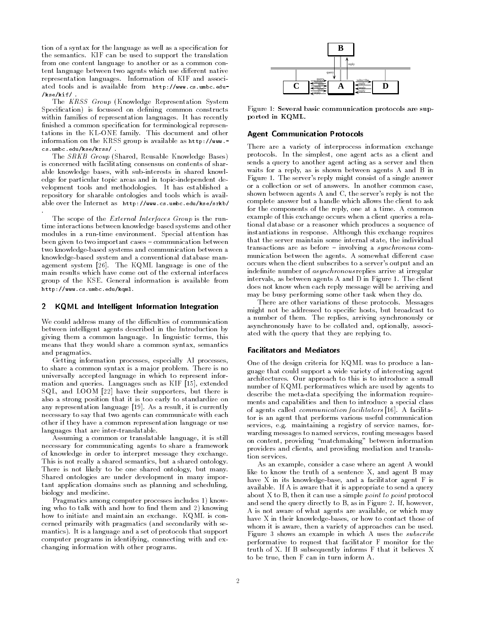tion of a syntax for the language as well as a specication for the semantics. KIF can be used to support the translation from one content language to another or as a common content language between two agents which use different native representation languages. Information of KIF and associated tools and is available from http://www.cs.umbc.edu- /kse/kif/ .

The KRSS Group (Knowledge Representation System Specification) is focussed on defining common constructs within families of representation languages. It has recently finished a common specification for terminological representations in the KL-ONE family. This document and other information on the KRSS group is available as http://www. cs.umbc.edu/kse/krss/ .

The SRKB Group (Shared, Reusable Knowledge Bases) is concerned with facilitating consensus on contents of sharable knowledge bases, with sub-interests in shared knowledge for particular topic areas and in topic-independent development tools and methodologies. It has established a repository for sharable ontologies and tools which is available over the Internet as http://www.cs.umbc.edu/kse/srkb/

The scope of the *External Interfaces Group* is the runtime interactions between knowledge based systems and other modules in a run-time environment. Special attention has been given to two important cases - communication between two knowledge-based systems and communication between a knowledge-based system and a conventional database management system [26]. The KQML language is one of the main results which have come out of the external interfaces group of the KSE. General information is available from http://www.cs.umbc.edu/kqml.

#### KQML and Intelligent Information Integration  $2^{\circ}$

We could address many of the difficulties of communication between intelligent agents described in the Introduction by giving them a common language. In linguistic terms, this means that they would share a common syntax, semantics and pragmatics.

Getting information processes, especially AI processes, to share a common syntax is a major problem. There is no universally accepted language in which to represent information and queries. Languages such as KIF [15], extended SQL, and LOOM [22] have their supporters, but there is also a strong position that it is too early to standardize on any representation language [19]. As a result, it is currently necessary to say that two agents can communicate with each other if they have a common representation language or use languages that are inter-translatable.

Assuming a common or translatable language, it is still necessary for communicating agents to share a framework of knowledge in order to interpret message they exchange. This is not really a shared semantics, but a shared ontology. There is not likely to be one shared ontology, but many. Shared ontologies are under development in many important application domains such as planning and scheduling, biology and medicine.

Pragmatics among computer processes includes 1) knowing who to talk with and how to find them and 2) knowing how to initiate and maintain an exchange. KQML is concerned primarily with pragmatics (and secondarily with se mantics). It is a language and a set of protocols that support computer programs in identifying, connecting with and exchanging information with other programs.



Figure 1: Several basic communication protocols are supported in KQML.

# Agent Communication Protocols

There are a variety of interprocess information exchange protocols. In the simplest, one agent acts as a client and sends a query to another agent acting as a server and then waits for a reply, as is shown between agents A and B in Figure 1. The server's reply might consist of a single answer or a collection or set of answers. In another common case, shown between agents A and C, the server's reply is not the complete answer but a handle which allows the client to ask for the components of the reply, one at a time. A common example of this exchange occurs when a client queries a relational database or a reasoner which produces a sequence of instantiations in response. Although this exchange requires that the server maintain some internal state, the individual transactions are as before  $-$  involving a synchronous communication between the agents. A somewhat different case occurs when the client subscribes to a server's output and an indefinite number of *asynchronous* replies arrive at irregular intervals, as between agents A and D in Figure 1. The client does not know when each reply message will be arriving and may be busy performing some other task when they do.

There are other variations of these protocols. Messages might not be addressed to specic hosts, but broadcast to a number of them. The replies, arriving synchronously or asynchronously have to be collated and, optionally, associated with the query that they are replying to.

# **Facilitators and Mediators**

One of the design criteria for KQML was to produce a language that could support a wide variety of interesting agent architectures. Our approach to this is to introduce a small number of KQML performatives which are used by agents to describe the meta-data specifying the information require ments and capabilities and then to introduce a special class of agents called communication facilitators [16]. A facilitator is an agent that performs various useful communication services, e.g. maintaining a registry of service names, for warding messages to named services, routing messages based on content, providing "matchmaking" between information providers and clients, and providing mediation and translation services.

As an example, consider a case where an agent A would like to know the truth of a sentence X, and agent B may have X in its knowledge-base, and a facilitator agent F is available. If A is aware that it is appropriate to send a query about X to B, then it can use a simple point to point protocol and send the query directly to B, as in Figure 2. If, however, A is not aware of what agents are available, or which may have X in their knowledge-bases, or how to contact those of whom it is aware, then a variety of approaches can be used. Figure 3 shows an example in which A uses the subscribe performative to request that facilitator F monitor for the truth of X. If B subsequently informs F that it believes X to be true, then F can in turn inform A.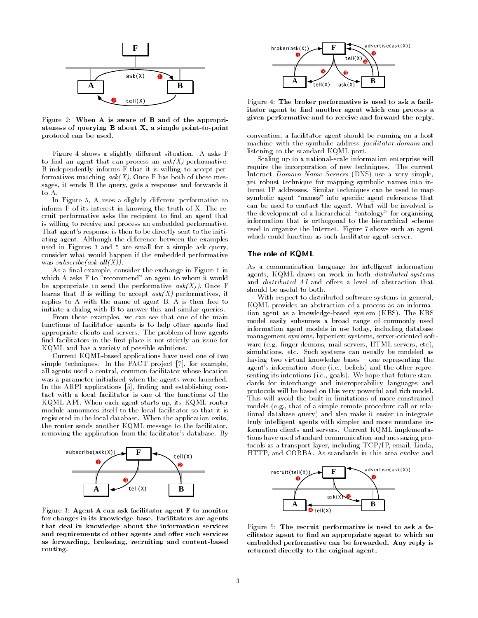

Figure 2: When A is aware of B and of the appropriateness of querying B about X, a simple point-to-point protocol can be used.

Figure 4 shows a slightly different situation. A asks F to find an agent that can process an  $ask(X)$  performative. B independently informs F that it is willing to accept performatives matching  $ask(X)$ . Once F has both of these messages, it sends B the query, gets a response and forwards it to A.

In Figure 5, A uses a slightly different performative to inform F of its interest in knowing the truth of X. The recruit performative asks the recipient to find an agent that is willing to receive and process an embedded performative. That agent's response is then to be directly sent to the initiating agent. Although the difference between the examples used in Figures 3 and 5 are small for a simple ask query, consider what would happen if the embedded performative was subscribe(ask-all $(X)$ ).

As a final example, consider the exchange in Figure 6 in which A asks F to "recommend" an agent to whom it would be appropriate to send the performative  $ask(X)$ ). Once F learns that B is willing to accept  $ask(X)$  performatives, it replies to A with the name of agent B. A is then free to initiate a dialog with B to answer this and similar queries.

From these examples, we can see that one of the main functions of facilitator agents is to help other agents find appropriate clients and servers. The problem of how agents find facilitators in the first place is not strictly an issue for KQML and has a variety of possible solutions.

Current KQML-based applications have used one of two simple techniques. In the PACT project  $[7]$ , for example, all agents used a central, common facilitator whose location was a parameter initialized when the agents were launched. In the ARPI applications [5], finding and establishing contact with a local facilitator is one of the functions of the KQML API. When each agent starts up, its KQML router module announces itself to the local facilitator so that it is registered in the local database. When the application exits, the router sends another KQML message to the facilitator, removing the application from the facilitator's database. By



Figure 3: Agent A can ask facilitator agent F to monitor for changes in its knowledge-base. Facilitators are agents that deal in knowledge about the information services and requirements of other agents and oer such services as forwarding, brokering, recruiting and content-based routing.



Figure 4: The broker performative is used to ask a facilitator agent to find another agent which can process a given performative and to receive and forward the reply.

convention, a facilitator agent should be running on a host machine with the symbolic address *facilitator.domain* and listening to the standard KQML port.

Scaling up to a national-scale information enterprise will require the incorporation of new techniques. The current Internet Domain Name Servers (DNS) use a very simple, yet robust technique for mapping symbolic names into internet IP addresses. Similar techniques can be used to map symbolic agent "names" into specific agent references that can be used to contact the agent. What will be involved is the development of a hierarchical "ontology" for organizing information that is orthogonal to the hierarchical scheme used to organize the Internet. Figure 7 shows such an agent which could function as such facilitator-agent-server.

# The role of KQML

As a communication language for intelligent information agents, KQML draws on work in both distributed systems and *distributed AI* and offers a level of abstraction that should be useful to both.

With respect to distributed software systems in general, KQML provides an abstraction of a process as an information agent as a knowledge-based system (KBS). The KBS model easily subsumes a broad range of commonly used information agent models in use today, including database management systems, hypertext systems, server-oriented soft ware (e.g. finger demons, mail servers, HTML servers, etc), simulations, etc. Such systems can usually be modeled as having two virtual knowledge bases - one representing the agent's information store (i.e., beliefs) and the other representing its intentions (i.e., goals). We hope that future standards for interchange and interoperability languages and protocols will be based on this very powerful and rich model. This will avoid the built-in limitations of more constrained models (e.g., that of a simple remote procedure call or relational database query) and also make it easier to integrate truly intelligent agents with simpler and more mundane information clients and servers. Current KQML implementations have used standard communication and messaging protocols as a transport layer, including TCP/IP, email, Linda, HTTP, and CORBA. As standards in this area evolve and



Figure 5: The recruit performative is used to ask a facilitator agent to find an appropriate agent to which an embedded performative can be forwarded. Any reply is returned directly to the original agent.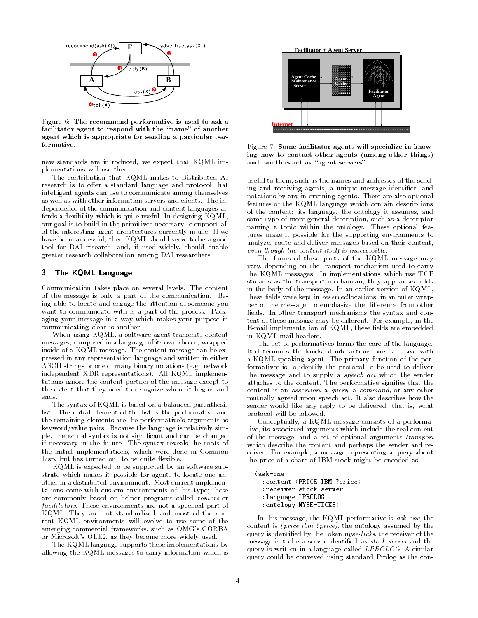

Figure 6: The recommend performative is used to ask a facilitator agent to respond with the "name" of another agent which is appropriate for sending a particular performative.

new standards are introduced, we expect that KQML implementations will use them.

The contribution that KQML makes to Distributed AI research is to offer a standard language and protocol that intelligent agents can use to communicate among themselves as well as with other information servers and clients. The independence of the communication and content languages affords a flexibility which is quite useful. In designing KQML, our goal is to build in the primitives necessary to support all of the interesting agent architectures currently in use. If we have been successful, then KQML should serve to be a good tool for DAI research, and, if used widely, should enable greater research collaboration among DAI researchers.

#### 3 3 The KQML Language

Communication takes place on several levels. The content of the message is only a part of the communication. Being able to locate and engage the attention of someone you want to communicate with is a part of the process. Packaging your message in a way which makes your purpose in communicating clear is another.

When using KQML, a software agent transmits content messages, composed in a language of its own choice, wrapped inside of a KQML message. The content message can be expressed in any representation language and written in either ASCII strings or one of many binary notations (e.g. network independent XDR representations). All KQML implementations ignore the content portion of the message except to the extent that they need to recognize where it begins and

The syntax of KQML is based on a balanced parenthesis list. The initial element of the list is the performative and the remaining elements are the performative's arguments as keyword/value pairs. Because the language is relatively simple, the actual syntax is not signicant and can be changed if necessary in the future. The syntax reveals the roots of the initial implementations, which were done in Common Lisp, but has turned out to be quite flexible.

KQML is expected to be supported by an software substrate which makes it possible for agents to locate one another in a distributed environment. Most current implemenother in a distributed environment. Most current implementations come with custom environments of this type; these are commonly based on helper programs called routers or facilitators. These environments are not a specified part of KQML. They are not standardized and most of the current KQML environments will evolve to use some of the or Microsoft's OLE2, as they become more widely used.

The KQML language supports these implementations by allowing the KQML messages to carry information which is



Figure 7: Some facilitator agents will specialize in knowing how to contact other agents (among other things) and can thus act as "agent-servers".

useful to them, such as the names and addresses of the sending and receiving agents, a unique message identifier, and notations by any intervening agents. There are also optional features of the KQML language which contain descriptions of the content: its language, the ontology it assumes, and some type of more general description, such as a descriptor naming a topic within the ontology. These optional features make it possible for the supporting environments to analyze, route and deliver messages based on their content, even though the content itself is inaccessible.

The forms of these parts of the KQML message may vary, depending on the transport mechanism used to carry the KQML messages. In implementations which use TCP streams as the transport mechanism, they appear as fields in the body of the message. In an earlier version of KQML, these fields were kept in reserved locations, in an outer wrapper of the message, to emphasize the difference from other fields. In other transport mechanisms the syntax and content of these message may be different. For example, in the E-mail implementation of KQML, these fields are embedded in KQML mail headers.

The set of performatives forms the core of the language. It determines the kinds of interactions one can have with a KQML-speaking agent. The primary function of the performatives is to identify the protocol to be used to deliver the message and to supply a speech act which the sender attaches to the content. The performative signifies that the content is an assertion, a query, a command, or any other mutually agreed upon speech act. It also describes how the sender would like any reply to be delivered, that is, what protocol will be followed.

Conceptually, a KQML message consists of a performative, its associated arguments which include the real content of the message, and a set of optional arguments transport which describe the content and perhaps the sender and receiver. For example, a message representing a query about the price of a share of IBM stock might be encoded as:

(ask-one:content (PRICE IBM ?price):receiver stock-server:language LPROLOG:ontology NYSE-TICKS)

emerging commercial frameworks, such as OMG's CORBA<br>M: (A) OUEQ the late of the state of the state of the state of the state of the state of the state of the state of the state of the state of the state of the state of the In this message, the KQML performative is ask-one, the content is (price ibm ?price), the ontology assumed by the query is identied by the token nyse-ticks, the receiver of the message is to be a server identified as stock-server and the query is written in a language called LPROLOG. A similar query could be conveyed using standard Prolog as the con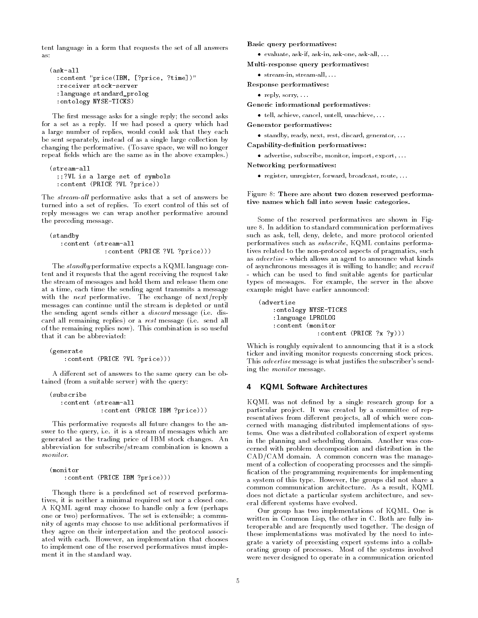tent language in a form that requests the set of all answers as:

```
(ask-all:content "price(IBM, [?price, ?time])":receiver stock-server:language standard_prolog:ontology NYSE-TICKS)
```
The first message asks for a single reply; the second asks for a set as a reply. If we had posed a query which had a large number of replies, would could ask that they each be sent separately, instead of as a single large collection by changing the performative. (To save space, we will no longer repeat fields which are the same as in the above examples.)

```
(stream-all;;?VL is a large set of symbols:content (PRICE ?VL ?price))
```
The stream-all performative asks that a set of answers be turned into a set of replies. To exert control of this set of reply messages we can wrap another performative around the preceding message.

```
(standby:content (stream-all:content (PRICE ?VL ?price)))
```
The standby performative expects a KQML language content and it requests that the agent receiving the request take the stream of messages and hold them and release them one at a time, each time the sending agent transmits a message with the next performative. The exchange of next/reply messages can continue until the stream is depleted or until the sending agent sends either a discard message (i.e. discard all remaining replies) or a rest message (i.e. send all of the remaining replies now). This combination is so useful that it can be abbreviated:

```
(generate:content (PRICE ?VL ?price)))
```
A different set of answers to the same query can be obtained (from a suitable server) with the query:

```
(subscribe:content (stream-all:content (PRICE IBM ?price)))
```
This performative requests all future changes to the answer to the query, i.e. it is a stream of messages which are generated as the trading price of IBM stock changes. An abbreviation for subscribe/stream combination is known a monitor.

```
(monitor:content (PRICE IBM ?price)))
```
Though there is a predefined set of reserved performatives, it is neither a minimal required set nor a closed one. A KQML agent may choose to handle only a few (perhaps one or two) performatives. The set is extensible; a commu nity of agents may choose to use additional performatives if they agree on their interpretation and the protocol associated with each. However, an implementation that chooses to implement one of the reserved performatives must imple ment it in the standard way.

Basic query performatives:

evaluate, ask-if, ask-in, ask-one, ask-all, :::

Multi-response query performatives:

```
\bullet\, stream-in, stream-all, \, \ldots \,
```
Response performatives:

```
\bullet reply, sorry, \cdots
```
Generic informational performatives:

 $\bullet\,$  tell, achieve, cancel, untell, unachieve,  $\, \ldots \,$ 

Generator performatives:

standby, ready, next, rest, discard, generator, :::

Capability-definition performatives:

 $\bullet$  advertise, subscribe, monitor, import, export,  $\ldots$ 

Networking performatives:

register, unregister, forward, broadcast, route, :::

Figure 8: There are about two dozen reserved performative names which fall into seven basic categories.

Some of the reserved performatives are shown in Figure 8. In addition to standard communication performatives such as ask, tell, deny, delete, and more protocol oriented performatives such as subscribe, KQML contains performatives related to the non-protocol aspects of pragmatics, such as *advertise* - which allows an agent to announce what kinds of asynchronous messages it is willing to handle; and recruit - which can be used to find suitable agents for particular types of messages. For example, the server in the above example might have earlier announced:

```
(advertise:ontology NYSE-TICKS:language LPROLOG:content (monitor:content (PRICE ?x ?y)))
```
Which is roughly equivalent to announcing that it is a stock ticker and inviting monitor requests concerning stock prices. This *advertise* message is what justifies the subscriber's sending the monitor message.

#### 4 KQML Software Architectures 4

KQML was not defined by a single research group for a particular project. It was created by a committee of representatives from different projects, all of which were concerned with managing distributed implementations of systems. One was a distributed collaboration of expert systems in the planning and scheduling domain. Another was concerned with problem decomposition and distribution in the CAD/CAM domain. A common concern was the manage ment of a collection of cooperating processes and the simpli fication of the programming requirements for implementing a system of this type. However, the groups did not share a common communication architecture. As a result, KQML does not dictate a particular system architecture, and several different systems have evolved.

Our group has two implementations of KQML. One is written in Common Lisp, the other in C. Both are fully interoperable and are frequently used together. The design of these implementations was motivated by the need to integrate a variety of preexisting expert systems into a collaborating group of processes. Most of the systems involved were never designed to operate in a communication oriented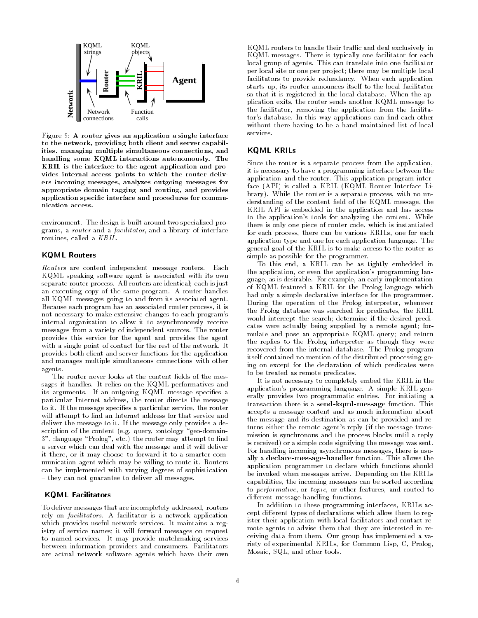

Figure 9: A router gives an application a single interface to the network, providing both client and server capabilities, managing multiple simultaneous connections, and handling some KQML interactions autonomously. The KRIL is the interface to the agent application and provides internal access points to which the router delivers incoming messages, analyzes outgoing messages for appropriate domain tagging and routing, and provides application specic interface and procedures for commu nication access.

environment. The design is built around two specialized programs, a router and a facilitator, and a library of interface routines, called a KRIL.

#### **KOML Routers** KQML Routers

Routers are content independent message routers. Each KQML speaking software agent is associated with its own separate router process. All routers are identical; each is just an executing copy of the same program. A router handles all KQML messages going to and from its associated agent. Because each program has an associated router process, it is not necessary to make extensive changes to each program's internal organization to allow it to asynchronously receive messages from a variety of independent sources. The router provides this service for the agent and provides the agent with a single point of contact for the rest of the network. It provides both client and server functions for the application and manages multiple simultaneous connections with other agents.

The router never looks at the content fields of the messages it handles. It relies on the KQML performatives and its arguments. If an outgoing KQML message specifies a particular Internet address, the router directs the message to it. If the message specifies a particular service, the router will attempt to find an Internet address for that service and deliver the message to it. If the message only provides a description of the content (e.g. query, :ontology "geo-domain- $3$ ", :language "Prolog", etc.) the router may attempt to find a server which can deal with the message and it will deliver it there, or it may choose to forward it to a smarter com munication agent which may be willing to route it. Routers can be implemented with varying degrees of sophistication  ${}$  they can not guarantee to deliver all messages.

#### **KOML Facilitators** KQML Facilitators

To deliver messages that are incompletely addressed, routers rely on facilitators. A facilitator is a network application which provides useful network services. It maintains a registry of service names; it will forward messages on request to named services. It may provide matchmaking services between information providers and consumers. Facilitators are actual network software agents which have their own

KQML routers to handle their traffic and deal exclusively in KQML messages. There is typically one facilitator for each local group of agents. This can translate into one facilitator per local site or one per project; there may be multiple local facilitators to provide redundancy. When each application starts up, its router announces itself to the local facilitator so that it is registered in the local database. When the application exits, the router sends another KQML message to the facilitator, removing the application from the facilitator's database. In this way applications can find each other without there having to be a hand maintained list of local services.

# KQML KRILs

Since the router is a separate process from the application, it is necessary to have a programming interface between the application and the router. This application program interface (API) is called a KRIL (KQML Router Interface Library). While the router is a separate process, with no understanding of the content field of the KQML message, the KRIL API is embedded in the application and has access to the application's tools for analyzing the content. While there is only one piece of router code, which is instantiated for each process, there can be various KRILs, one for each application type and one for each application language. The general goal of the KRIL is to make access to the router as simple as possible for the programmer.

To this end, a KRIL can be as tightly embedded in the application, or even the application's programming language, as is desirable. For example, an early implementation of KQML featured a KRIL for the Prolog language which had only a simple declarative interface for the programmer. During the operation of the Prolog interpreter, whenever the Prolog database was searched for predicates, the KRIL would intercept the search; determine if the desired predicates were actually being supplied by a remote agent; for mulate and pose an appropriate KQML query; and return the replies to the Prolog interpreter as though they were recovered from the internal database. The Prolog program itself contained no mention of the distributed processing going on except for the declaration of which predicates were to be treated as remote predicates.

It is not necessary to completely embed the KRIL in the application's programming language. A simple KRIL generally provides two programmatic entries. For initiating a transaction there is a send-kqml-message function. This accepts a message content and as much information about the message and its destination as can be provided and returns either the remote agent's reply (if the message transmission is synchronous and the process blocks until a reply is received) or a simple code signifying the message was sent. For handling incoming asynchronous messages, there is usually a declare-message-handler function. This allows the application programmer to declare which functions should be invoked when messages arrive. Depending on the KRILs capabilities, the incoming messages can be sorted according to performative, or topic, or other features, and routed to different message handling functions.

In addition to these programming interfaces, KRILs accept different types of declarations which allow them to register their application with local facilitators and contact remote agents to advise them that they are interested in receiving data from them. Our group has implemented a variety of experimental KRILs, for Common Lisp, C, Prolog, Mosaic, SQL, and other tools.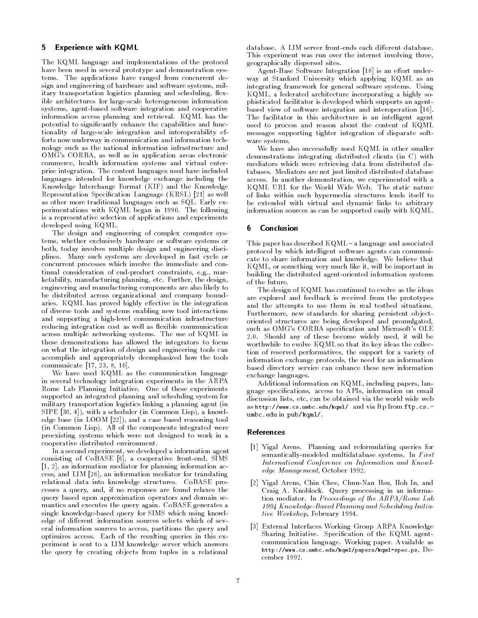### 5 Experience with KQML

The KQML language and implementations of the protocol have been used in several prototype and demonstration systems. The applications have ranged from concurrent design and engineering of hardware and software systems, military transportation logistics planning and scheduling, flexible architectures for large-scale heterogeneous information systems, agent-based software integration and cooperative information access planning and retrieval. KQML has the potential to signicantly enhance the capabilities and functionality of large-scale integration and interoperability efforts now underway in communication and information technology such as the national information infrastructure and OMG's CORBA, as well as in application areas electronic commerce, health information systems and virtual enterprise integration. The content languages used have included languages intended for knowledge exchange including the Knowledge Interchange Format (KIF) and the Knowledge Representation Specication Language (KRSL) [21] as well as other more traditional languages such as SQL. Early experimentations with KQML began in 1990. The following is a representative selection of applications and experiments developed using KQML.

The design and engineering of complex computer systems, whether exclusively hardware or software systems or both, today involves multiple design and engineering disciplines. Many such systems are developed in fast cycle or concurrent processes which involve the immediate and continual consideration of end-product constraints, e.g., marketability, manufacturing planning, etc. Further, the design, engineering and manufacturing components are also likely to be distributed across organizational and company boundaries. KQML has proved highly effective in the integration of diverse tools and systems enabling new tool interactions and supporting a high-level communication infrastructure reducing integration cost as well as flexible communication across multiple networking systems. The use of KQML in these demonstrations has allowed the integrators to focus on what the integration of design and engineering tools can accomplish and appropriately deemphasized how the tools communicate [17, 23, 8, 10].

We have used KQML as the communication language in several technology integration experiments in the ARPA Rome Lab Planning Initiative. One of these experiments supported an integrated planning and scheduling system for military transportation logistics linking a planning agent (in SIPE [30, 4]), with a scheduler (in Common Lisp), a knowledge base (in LOOM [22]), and a case based reasoning tool (in Common Lisp). All of the components integrated were preexisting systems which were not designed to work in a cooperative distributed environment.

In a second experiment, we developed a information agent consisting of CoBASE [6], a cooperative front-end, SIMS [1, 2], an information mediator for planning information access, and LIM [26], an information mediator for translating relational data into knowledge structures. CoBASE processes a query, and, if no responses are found relaxes the query based upon approximation operators and domain se mantics and executes the query again. CoBASE generates a single knowledge-based query for SIMS which using knowledge of different information sources selects which of several information sources to access, partitions the query and optimizes access. Each of the resulting queries in this experiment is sent to a LIM knowledge server which answers the query by creating ob jects from tuples in a relational

database. A LIM server front-ends each different database. This experiment was run over the internet involving three, geographically dispersed sites.

Agent-Base Software Integration [18] is an effort underway at Stanford University which applying KQML as an integrating framework for general software systems. Using KQML, a federated architecture incorporating a highly sophisticated facilitator is developed which supports an agentbased view of software integration and interoperation [16]. The facilitator in this architecture is an intelligent agent used to process and reason about the content of KQML messages supporting tighter integration of disparate soft ware systems. ware systems. The system is the system of the system of the system of the system of the system of the system of

We have also successfully used KQML in other smaller demonstrations integrating distributed clients (in C) with mediators which were retrieving data from distributed databases. Mediators are not just limited distributed database access. In another demonstration, we experimented with a KQML URL for the World Wide Web. The static nature of links within such hypermedia structures lends itself to be extended with virtual and dynamic links to arbitrary information sources as can be supported easily with KQML.

#### **Conclusion** 6.

This paper has described KQML - a language and associated protocol by which intelligent software agents can communicate to share information and knowledge. We believe that KQML, or something very much like it, will be important in building the distributed agent-oriented information systems of the future.

The design of KQML has continued to evolve as the ideas are explored and feedback is received from the prototypes and the attempts to use them in real testbed situations. Furthermore, new standards for sharing persistent objectoriented structures are being developed and promulgated, such as OMG's CORBA specication and Microsoft's OLE 2.0. Should any of these become widely used, it will be worthwhile to evolve KQML so that its key ideas the collection of reserved performatives, the support for a variety of information exchange protocols, the need for an information based directory service can enhance these new information exchange languages.

Additional information on KQML, including papers, language specications, access to APIs, information on email discussion lists, etc, can be obtained via the world wide web as http://www.cs.umbc.edu/kqml/ and via ftp from ftp.cs.  $m \sim 2$  is a contract to public  $\mu$  in equation  $\mu$ .

### References

- [1] Yigal Arens. Planning and reformulating queries for semantically-modeled multidatabase systems. In First International Conference on Information and Knowledge Management, October 1992.
- [2] Yigal Arens, Chin Chee, Chun-Nan Hsu, Hoh In, and Craig A. Knoblock. Query processing in an information mediator. In Proceedings of the ARPA/Rome Lab 1994 Know ledge-Based Planning and Scheduling Initiative Workshop, February 1994.
- [3] External Interfaces Working Group ARPA Knowledge Sharing Initiative. Specification of the KQML agentcommunication language. Working paper. Available as http://www.cs.umbc.edu/kqml/papers/kqml-spec.ps, December 1992.